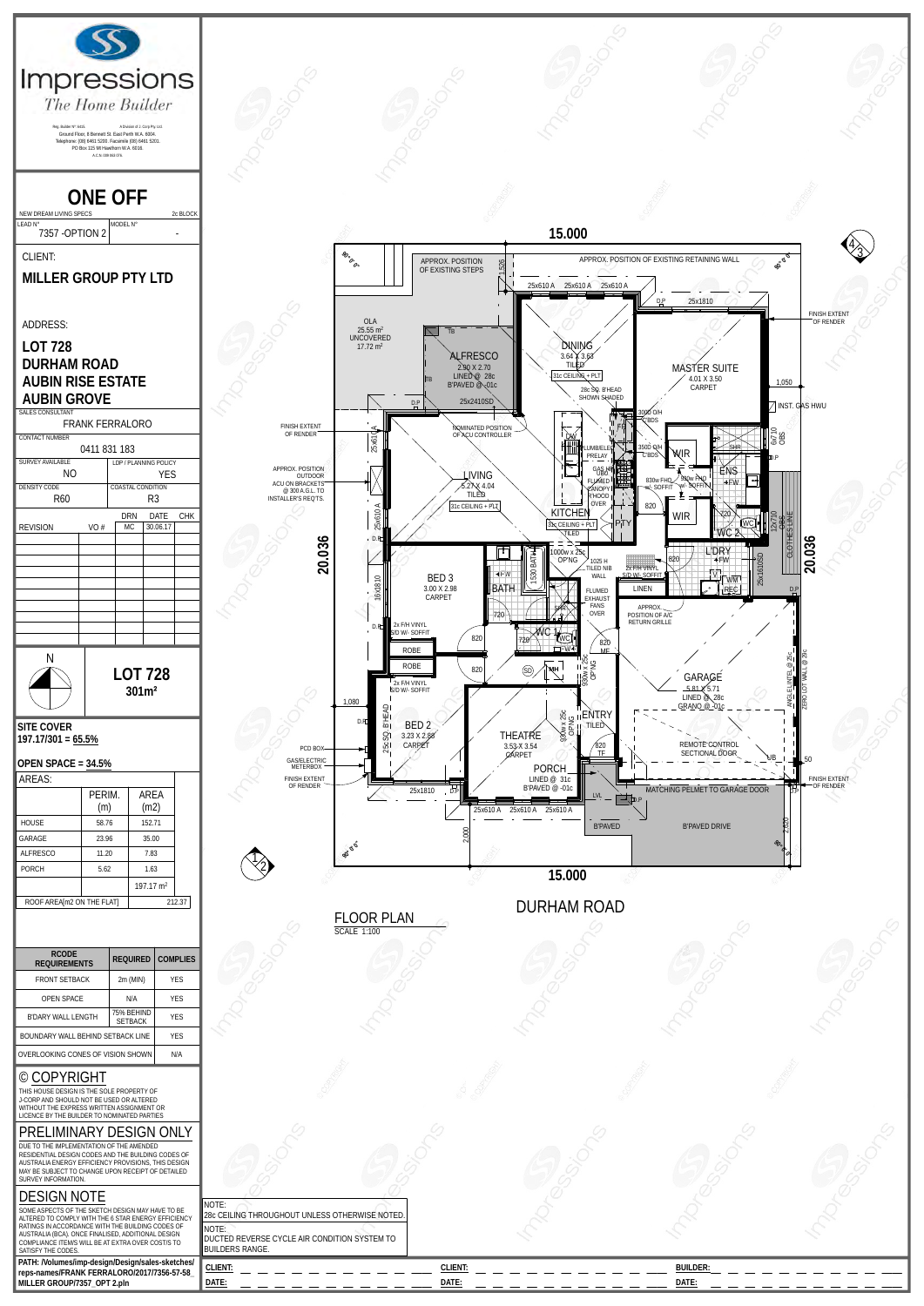

| <b>OPEN SPACE</b>                                                                                                                                                                 | N/A                          | <b>YES</b> |  |
|-----------------------------------------------------------------------------------------------------------------------------------------------------------------------------------|------------------------------|------------|--|
| B'DARY WALL LENGTH                                                                                                                                                                | 75% BEHIND<br><b>SETBACK</b> | <b>YFS</b> |  |
| BOUNDARY WALL BEHIND SETBACK LINE                                                                                                                                                 | <b>YFS</b>                   |            |  |
| OVERLOOKING CONES OF VISION SHOWN                                                                                                                                                 | N/A                          |            |  |
| © COPYRIGHT                                                                                                                                                                       |                              |            |  |
| THIS HOUSE DESIGN IS THE SOLE PROPERTY OF<br>J-CORP AND SHOULD NOT BE USED OR ALTERED<br>WITHOUT THE EXPRESS WRITTEN ASSIGNMENT OR<br>LICENCE BY THE BUILDER TO NOMINATED PARTIES |                              |            |  |
| PRELIMINARY DESIGN ONLY                                                                                                                                                           |                              |            |  |
| DUE TO THE IMPLEMENTATION OF THE AMENDED                                                                                                                                          |                              |            |  |

DUE TO THE IMPLEMENTATION OF THE AMENDED RESIDENTIAL DESIGN CODES AND THE BUILDING CODES OF AUSTRALIA ENERGY EFFICIENCY PROVISIONS, THIS DESIGN MAY BE SUBJECT TO CHANGE UPON RECEIPT OF DETAILED

## DESIGN NOTE

| AUSTRALIA ENERGY EFFICIENCY PROVISIONS, THIS DESIGN<br>MAY BE SUBJECT TO CHANGE UPON RECEIPT OF DETAILED<br>SURVEY INFORMATION.                                                                                                                                                                                    |                                                                                                                                               |                |                 |  |
|--------------------------------------------------------------------------------------------------------------------------------------------------------------------------------------------------------------------------------------------------------------------------------------------------------------------|-----------------------------------------------------------------------------------------------------------------------------------------------|----------------|-----------------|--|
| <b>DESIGN NOTE</b><br>SOME ASPECTS OF THE SKETCH DESIGN MAY HAVE TO BE<br>ALTERED TO COMPLY WITH THE 6 STAR ENERGY FEEICIENCY<br>RATINGS IN ACCORDANCE WITH THE BUILDING CODES OF<br>AUSTRALIA (BCA). ONCE FINALISED, ADDITIONAL DESIGN<br>COMPLIANCE ITEM/S WILL BE AT EXTRA OVER COST/S TO<br>SATISEY THE CODES. | INOTE:<br>28c CEILING THROUGHOUT UNLESS OTHERWISE NOTED.<br>NOTE:<br>■ DUCTED REVERSE CYCLE AIR CONDITION SYSTEM TO<br><b>BUILDERS RANGE.</b> |                |                 |  |
| PATH:/Volumes/imp-design/Design/sales-sketches/<br>reps-names/FRANK FERRALORO/2017/7356-57-58                                                                                                                                                                                                                      | CLIENT:                                                                                                                                       | <b>CLIENT:</b> | <b>BUILDER:</b> |  |
| MILLER GROUP/7357 OPT 2.pln                                                                                                                                                                                                                                                                                        | DATE:                                                                                                                                         | <b>DATE</b>    | DATE:           |  |